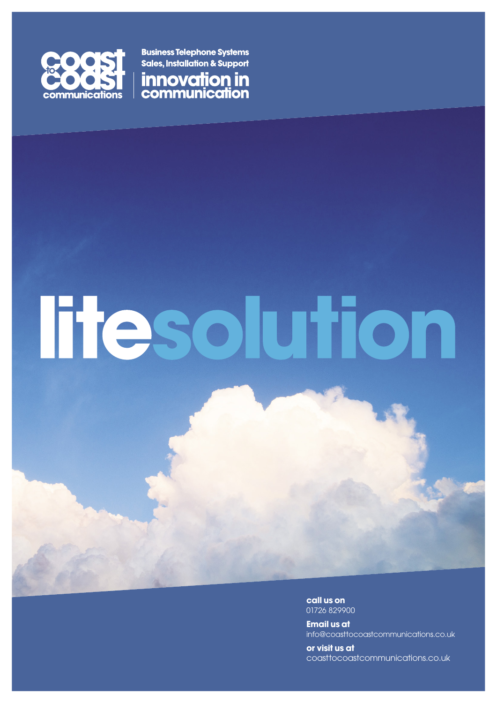

**Business Telephone Systems Sales, Installation & Support** 



# **Tresolution**

**call us on** 01726 829900

**Email us at** info@coasttocoastcommunications.co.uk

**or visit us at** coasttocoastcommunications.co.uk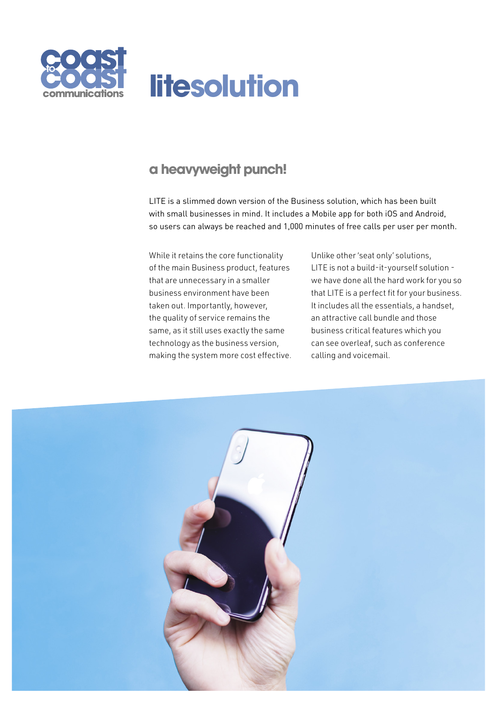

### **a heavyweight punch!**

LITE is a slimmed down version of the Business solution, which has been built with small businesses in mind. It includes a Mobile app for both iOS and Android, so users can always be reached and 1,000 minutes of free calls per user per month.

While it retains the core functionality of the main Business product, features that are unnecessary in a smaller business environment have been taken out. Importantly, however, the quality of service remains the same, as it still uses exactly the same technology as the business version, making the system more cost effective.

Unlike other 'seat only' solutions, LITE is not a build-it-yourself solution we have done all the hard work for you so that LITE is a perfect fit for your business. It includes all the essentials, a handset, an attractive call bundle and those business critical features which you can see overleaf, such as conference calling and voicemail.

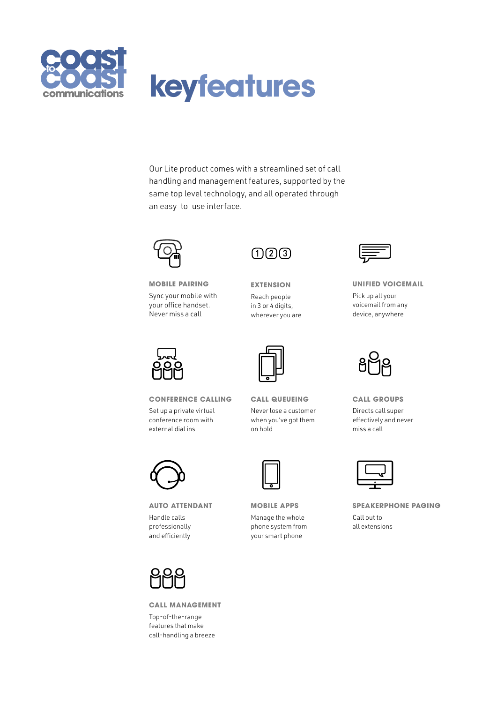

## **keyfeatures**

Our Lite product comes with a streamlined set of call handling and management features, supported by the same top level technology, and all operated through an easy-to-use interface.



**MOBILE PAIRING** Sync your mobile with your office handset. Never miss a call



**CONFERENCE CALLING**

Set up a private virtual conference room with external dial ins



**AUTO ATTENDANT** Handle calls professionally and efficiently



**CALL MANAGEMENT** Top-of-the-range features that make call-handling a breeze



**EXTENSION** Reach people in 3 or 4 digits, wherever you are



**CALL QUEUEING** Never lose a customer when you've got them on hold

**MOBILE APPS** Manage the whole phone system from your smart phone



**UNIFIED VOICEMAIL** Pick up all your voicemail from any device, anywhere



**CALL GROUPS** Directs call super effectively and never miss a call

**SPEAKERPHONE PAGING** Call out to all extensions